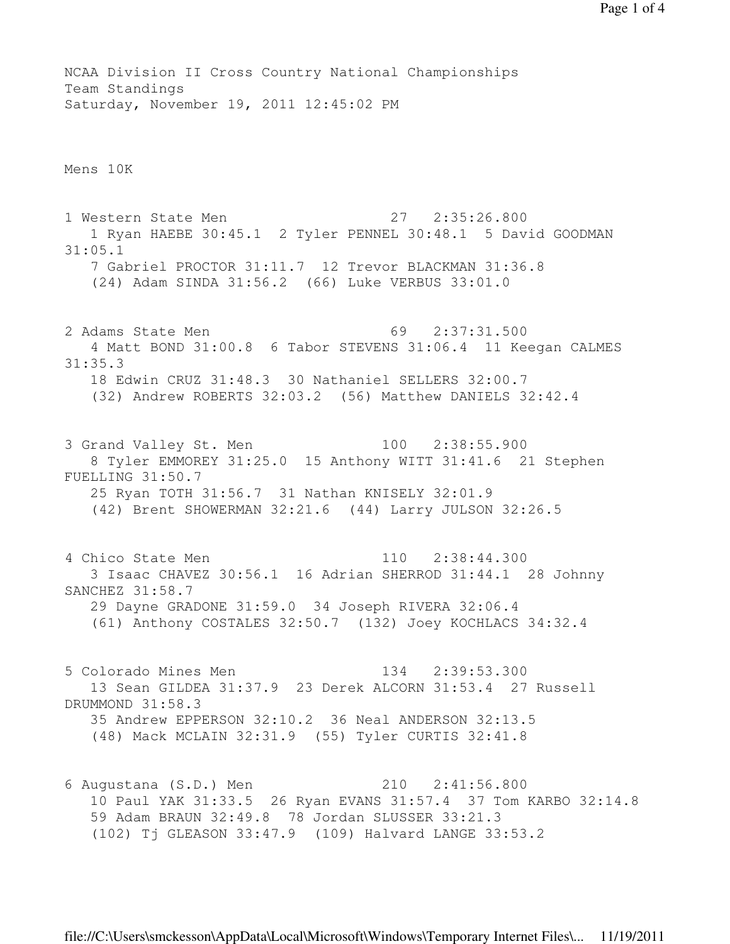NCAA Division II Cross Country National Championships Team Standings Saturday, November 19, 2011 12:45:02 PM

Mens 10K

1 Western State Men 27 2:35:26.800 1 Ryan HAEBE 30:45.1 2 Tyler PENNEL 30:48.1 5 David GOODMAN 31:05.1 7 Gabriel PROCTOR 31:11.7 12 Trevor BLACKMAN 31:36.8 (24) Adam SINDA 31:56.2 (66) Luke VERBUS 33:01.0 2 Adams State Men 69 2:37:31.500 4 Matt BOND 31:00.8 6 Tabor STEVENS 31:06.4 11 Keegan CALMES 31:35.3 18 Edwin CRUZ 31:48.3 30 Nathaniel SELLERS 32:00.7 (32) Andrew ROBERTS 32:03.2 (56) Matthew DANIELS 32:42.4 3 Grand Valley St. Men 100 2:38:55.900 8 Tyler EMMOREY 31:25.0 15 Anthony WITT 31:41.6 21 Stephen FUELLING 31:50.7 25 Ryan TOTH 31:56.7 31 Nathan KNISELY 32:01.9 (42) Brent SHOWERMAN 32:21.6 (44) Larry JULSON 32:26.5 4 Chico State Men 110 2:38:44.300 3 Isaac CHAVEZ 30:56.1 16 Adrian SHERROD 31:44.1 28 Johnny SANCHEZ 31:58.7 29 Dayne GRADONE 31:59.0 34 Joseph RIVERA 32:06.4 (61) Anthony COSTALES 32:50.7 (132) Joey KOCHLACS 34:32.4

5 Colorado Mines Men 134 2:39:53.300 13 Sean GILDEA 31:37.9 23 Derek ALCORN 31:53.4 27 Russell DRUMMOND 31:58.3 35 Andrew EPPERSON 32:10.2 36 Neal ANDERSON 32:13.5 (48) Mack MCLAIN 32:31.9 (55) Tyler CURTIS 32:41.8

6 Augustana (S.D.) Men 210 2:41:56.800 10 Paul YAK 31:33.5 26 Ryan EVANS 31:57.4 37 Tom KARBO 32:14.8 59 Adam BRAUN 32:49.8 78 Jordan SLUSSER 33:21.3 (102) Tj GLEASON 33:47.9 (109) Halvard LANGE 33:53.2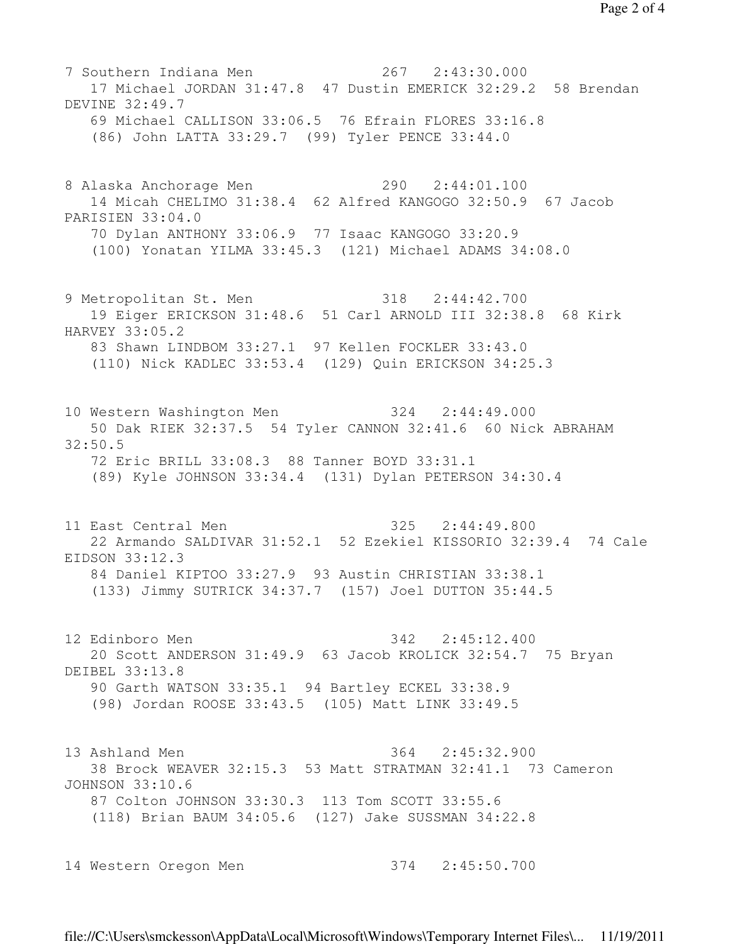7 Southern Indiana Men 267 2:43:30.000 17 Michael JORDAN 31:47.8 47 Dustin EMERICK 32:29.2 58 Brendan DEVINE 32:49.7 69 Michael CALLISON 33:06.5 76 Efrain FLORES 33:16.8 (86) John LATTA 33:29.7 (99) Tyler PENCE 33:44.0 8 Alaska Anchorage Men 290 2:44:01.100 14 Micah CHELIMO 31:38.4 62 Alfred KANGOGO 32:50.9 67 Jacob PARISIEN 33:04.0 70 Dylan ANTHONY 33:06.9 77 Isaac KANGOGO 33:20.9 (100) Yonatan YILMA 33:45.3 (121) Michael ADAMS 34:08.0 9 Metropolitan St. Men 318 2:44:42.700 19 Eiger ERICKSON 31:48.6 51 Carl ARNOLD III 32:38.8 68 Kirk HARVEY 33:05.2 83 Shawn LINDBOM 33:27.1 97 Kellen FOCKLER 33:43.0 (110) Nick KADLEC 33:53.4 (129) Quin ERICKSON 34:25.3 10 Western Washington Men 324 2:44:49.000 50 Dak RIEK 32:37.5 54 Tyler CANNON 32:41.6 60 Nick ABRAHAM 32:50.5 72 Eric BRILL 33:08.3 88 Tanner BOYD 33:31.1 (89) Kyle JOHNSON 33:34.4 (131) Dylan PETERSON 34:30.4 11 East Central Men 325 2:44:49.800 22 Armando SALDIVAR 31:52.1 52 Ezekiel KISSORIO 32:39.4 74 Cale EIDSON 33:12.3 84 Daniel KIPTOO 33:27.9 93 Austin CHRISTIAN 33:38.1 (133) Jimmy SUTRICK 34:37.7 (157) Joel DUTTON 35:44.5 12 Edinboro Men 342 2:45:12.400 20 Scott ANDERSON 31:49.9 63 Jacob KROLICK 32:54.7 75 Bryan DEIBEL 33:13.8 90 Garth WATSON 33:35.1 94 Bartley ECKEL 33:38.9 (98) Jordan ROOSE 33:43.5 (105) Matt LINK 33:49.5 13 Ashland Men 364 2:45:32.900 38 Brock WEAVER 32:15.3 53 Matt STRATMAN 32:41.1 73 Cameron JOHNSON 33:10.6 87 Colton JOHNSON 33:30.3 113 Tom SCOTT 33:55.6 (118) Brian BAUM 34:05.6 (127) Jake SUSSMAN 34:22.8 14 Western Oregon Men 374 2:45:50.700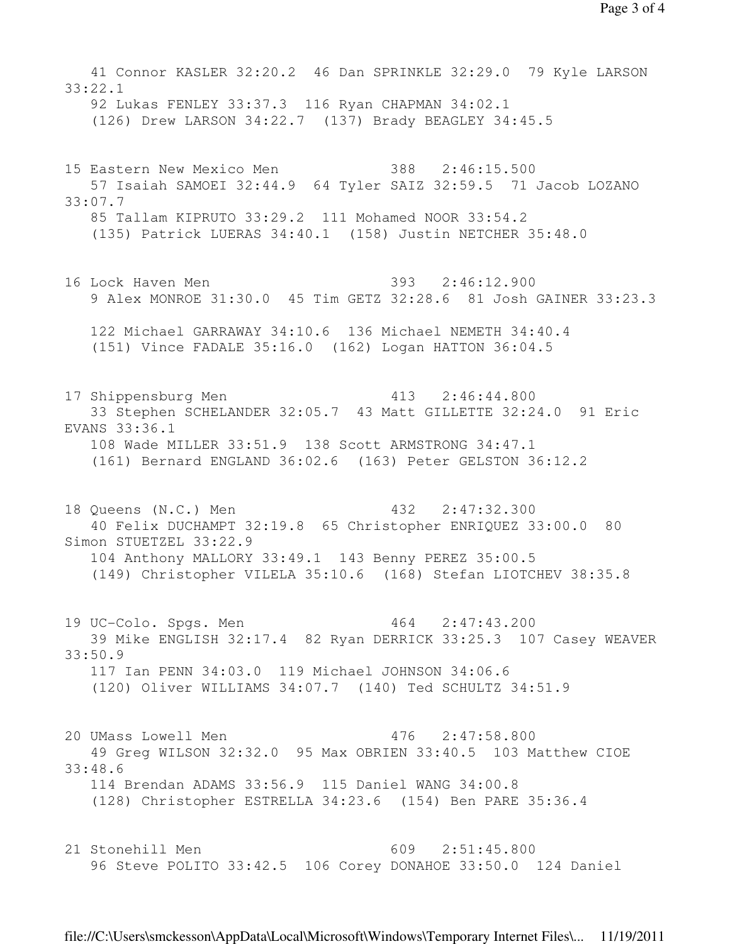41 Connor KASLER 32:20.2 46 Dan SPRINKLE 32:29.0 79 Kyle LARSON 33:22.1 92 Lukas FENLEY 33:37.3 116 Ryan CHAPMAN 34:02.1 (126) Drew LARSON 34:22.7 (137) Brady BEAGLEY 34:45.5 15 Eastern New Mexico Men 388 2:46:15.500 57 Isaiah SAMOEI 32:44.9 64 Tyler SAIZ 32:59.5 71 Jacob LOZANO 33:07.7 85 Tallam KIPRUTO 33:29.2 111 Mohamed NOOR 33:54.2 (135) Patrick LUERAS 34:40.1 (158) Justin NETCHER 35:48.0 16 Lock Haven Men 393 2:46:12.900 9 Alex MONROE 31:30.0 45 Tim GETZ 32:28.6 81 Josh GAINER 33:23.3 122 Michael GARRAWAY 34:10.6 136 Michael NEMETH 34:40.4 (151) Vince FADALE 35:16.0 (162) Logan HATTON 36:04.5 17 Shippensburg Men 413 2:46:44.800 33 Stephen SCHELANDER 32:05.7 43 Matt GILLETTE 32:24.0 91 Eric EVANS 33:36.1 108 Wade MILLER 33:51.9 138 Scott ARMSTRONG 34:47.1 (161) Bernard ENGLAND 36:02.6 (163) Peter GELSTON 36:12.2 18 Queens (N.C.) Men 432 2:47:32.300 40 Felix DUCHAMPT 32:19.8 65 Christopher ENRIQUEZ 33:00.0 80 Simon STUETZEL 33:22.9 104 Anthony MALLORY 33:49.1 143 Benny PEREZ 35:00.5 (149) Christopher VILELA 35:10.6 (168) Stefan LIOTCHEV 38:35.8 19 UC-Colo. Spgs. Men 464 2:47:43.200 39 Mike ENGLISH 32:17.4 82 Ryan DERRICK 33:25.3 107 Casey WEAVER 33:50.9 117 Ian PENN 34:03.0 119 Michael JOHNSON 34:06.6 (120) Oliver WILLIAMS 34:07.7 (140) Ted SCHULTZ 34:51.9 20 UMass Lowell Men 476 2:47:58.800 49 Greg WILSON 32:32.0 95 Max OBRIEN 33:40.5 103 Matthew CIOE 33:48.6 114 Brendan ADAMS 33:56.9 115 Daniel WANG 34:00.8 (128) Christopher ESTRELLA 34:23.6 (154) Ben PARE 35:36.4 21 Stonehill Men 609 2:51:45.800 96 Steve POLITO 33:42.5 106 Corey DONAHOE 33:50.0 124 Daniel

file://C:\Users\smckesson\AppData\Local\Microsoft\Windows\Temporary Internet Files\... 11/19/2011